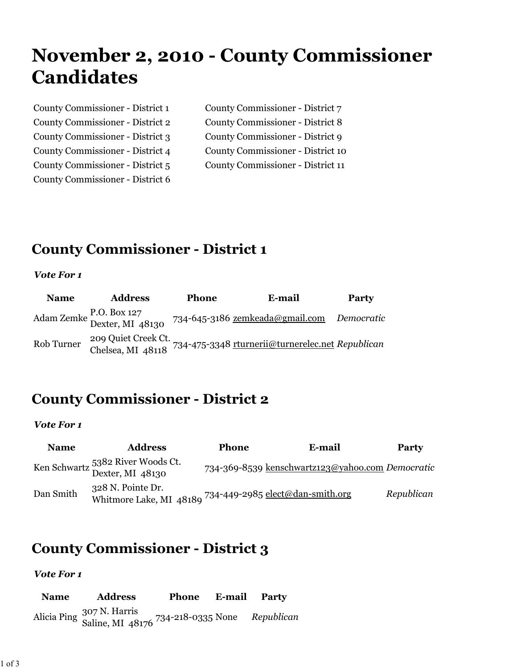# **November 2, 2010 - County Commissioner Candidates**

| County Commissioner - District 1 | County Commissioner - District 7  |
|----------------------------------|-----------------------------------|
| County Commissioner - District 2 | County Commissioner - District 8  |
| County Commissioner - District 3 | County Commissioner - District 9  |
| County Commissioner - District 4 | County Commissioner - District 10 |
| County Commissioner - District 5 | County Commissioner - District 11 |
| County Commissioner - District 6 |                                   |

# **County Commissioner - District 1**

#### *Vote For 1*

| <b>Name</b> | <b>Address</b>                              | <b>Phone</b> | E-mail                                                                                    | Party |
|-------------|---------------------------------------------|--------------|-------------------------------------------------------------------------------------------|-------|
|             | Adam Zemke P.O. Box 127<br>Dexter, MI 48130 |              | 734-645-3186 <u>zemkeada@gmail.com</u> Democratic                                         |       |
| Rob Turner  |                                             |              | 209 Quiet Creek Ct.<br>Chelsea, MI 48118 734-475-3348 rturnerii@turnerelec.net Republican |       |

# **County Commissioner - District 2**

### *Vote For 1*

| <b>Name</b> | <b>Address</b>                                                                | <b>Phone</b> | E-mail                                           | <b>Party</b> |
|-------------|-------------------------------------------------------------------------------|--------------|--------------------------------------------------|--------------|
|             | Ken Schwartz 5382 River Woods Ct.<br>Dexter, MI 48130                         |              | 734-369-8539 kenschwartz123@yahoo.com Democratic |              |
| Dan Smith   | 328 N. Pointe Dr.<br>Whitmore Lake, MI 48189 734-449-2985 elect@dan-smith.org |              |                                                  | Republican   |

## **County Commissioner - District 3**

### *Vote For 1*

**Name Address Phone E-mail Party** Alicia Ping 307 N. Harris Saline, MI 48176 734-218-0335 None *Republican*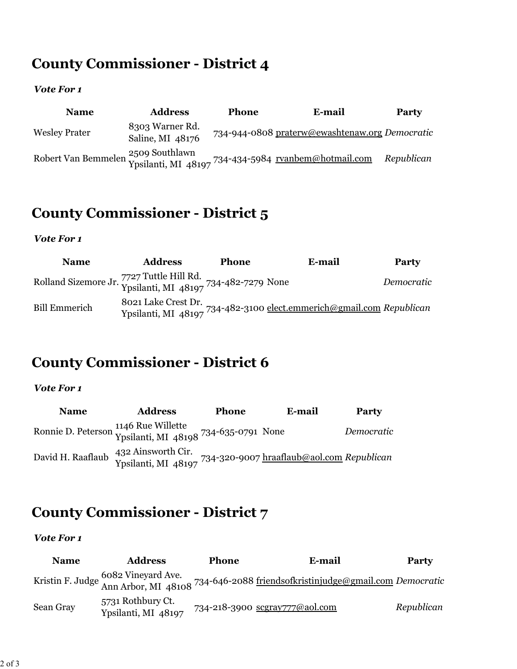# **County Commissioner - District 4**

### *Vote For 1*

| <b>Name</b>          | <b>Address</b>                      | <b>Phone</b> | E-mail                                                                                     | <b>Party</b> |
|----------------------|-------------------------------------|--------------|--------------------------------------------------------------------------------------------|--------------|
| <b>Wesley Prater</b> | 8303 Warner Rd.<br>Saline, MI 48176 |              | 734-944-0808 praterw@ewashtenaw.org Democratic                                             |              |
|                      |                                     |              | Robert Van Bemmelen 2509 Southlawn<br>Ypsilanti, MI 48197 734-434-5984 rvanbem@hotmail.com | Republican   |

# **County Commissioner - District 5**

### *Vote For 1*

| <b>Name</b>                                                                        | <b>Address</b> | <b>Phone</b> | E-mail                                                                                                 | Party      |
|------------------------------------------------------------------------------------|----------------|--------------|--------------------------------------------------------------------------------------------------------|------------|
| Rolland Sizemore Jr. 7727 Tuttle Hill Rd.<br>Ypsilanti, MI 48197 734-482-7279 None |                |              |                                                                                                        | Democratic |
| <b>Bill Emmerich</b>                                                               |                |              | 8021 Lake Crest Dr.<br>Ypsilanti, MI 48197 <sup>734-482-3100</sup> elect.emmerich@gmail.com Republican |            |

# **County Commissioner - District 6**

### *Vote For 1*

| <b>Name</b>       | <b>Address</b>                                                                                 | <b>Phone</b> | E-mail | Party      |
|-------------------|------------------------------------------------------------------------------------------------|--------------|--------|------------|
|                   | Ronnie D. Peterson 1146 Rue Willette<br>Ypsilanti, MI 48198 734-635-0791 None                  |              |        | Democratic |
| David H. Raaflaub | 432 Ainsworth Cir.<br>Ypsilanti, MI 48197 <sup>734-320-9007</sup> hraaflaub@aol.com Republican |              |        |            |

# **County Commissioner - District 7**

### *Vote For 1*

| <b>Name</b> | <b>Address</b>                           | <b>Phone</b> | E-mail                                                                                                             | <b>Party</b> |
|-------------|------------------------------------------|--------------|--------------------------------------------------------------------------------------------------------------------|--------------|
|             |                                          |              | Kristin F. Judge 6082 Vineyard Ave.<br>Ann Arbor, MI 48108 734-646-2088 friendsofkristinjudge@gmail.com Democratic |              |
| Sean Gray   | 5731 Rothbury Ct.<br>Ypsilanti, MI 48197 |              | 734-218-3900 scgray777@aol.com                                                                                     | Republican   |